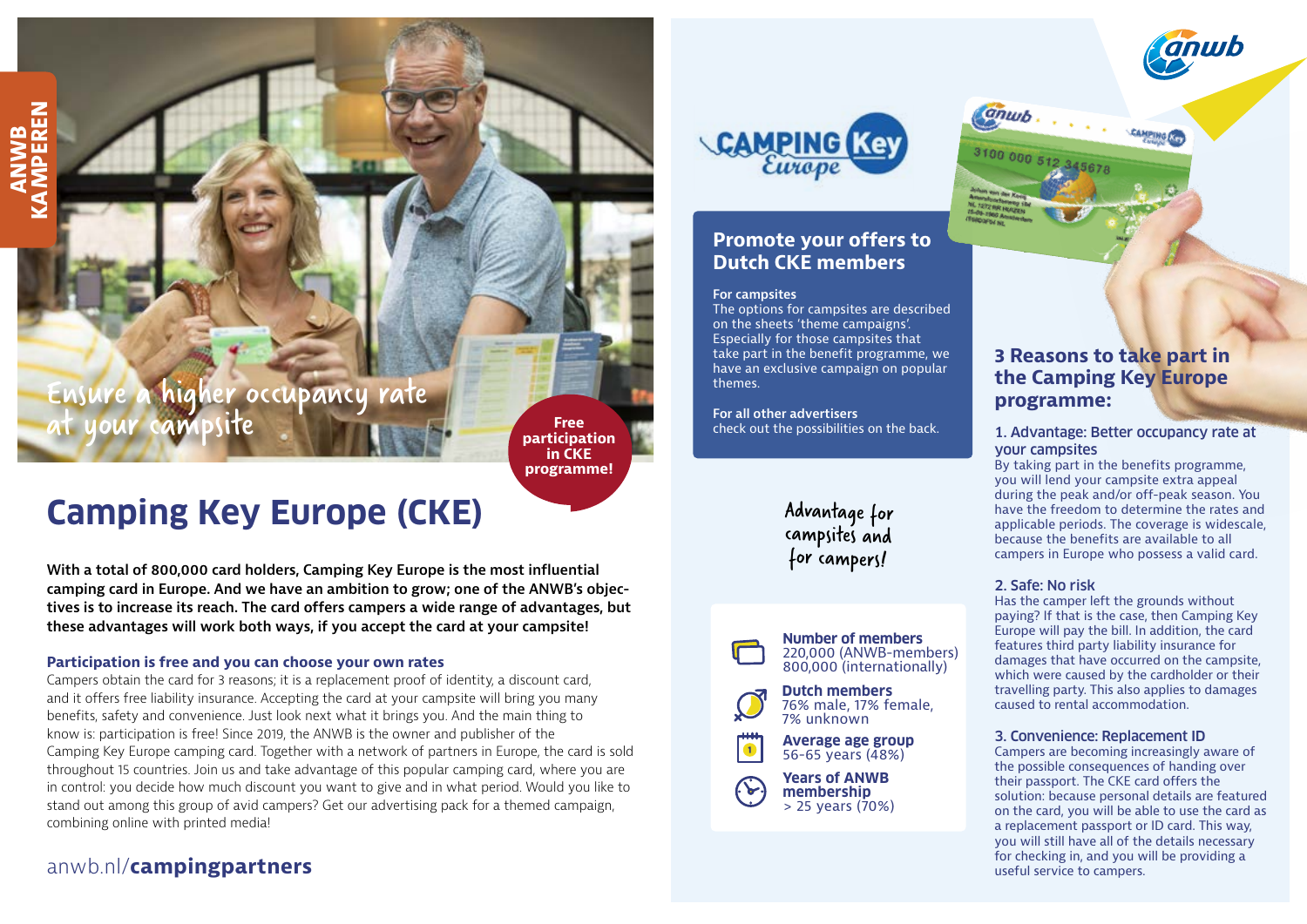# higher occupancy rate at your campsite

**ANWB<br>
MPEREN KAMPEREN**

> **Free participation in CKE programme!**

# **Camping Key Europe (CKE)**

**With a total of 800,000 card holders, Camping Key Europe is the most influential camping card in Europe. And we have an ambition to grow; one of the ANWB's objectives is to increase its reach. The card offers campers a wide range of advantages, but these advantages will work both ways, if you accept the card at your campsite!**

#### **Participation is free and you can choose your own rates**

Campers obtain the card for 3 reasons; it is a replacement proof of identity, a discount card, and it offers free liability insurance. Accepting the card at your campsite will bring you many benefits, safety and convenience. Just look next what it brings you. And the main thing to know is: participation is free! Since 2019, the ANWB is the owner and publisher of the Camping Key Europe camping card. Together with a network of partners in Europe, the card is sold throughout 15 countries. Join us and take advantage of this popular camping card, where you are in control: you decide how much discount you want to give and in what period. Would you like to stand out among this group of avid campers? Get our advertising pack for a themed campaign, combining online with printed media!

# anwb.nl/**campingpartners**



## **Promote your offers to Dutch CKE members**

#### **For campsites**

The options for campsites are described on the sheets 'theme campaigns'. Especially for those campsites that take part in the benefit programme, we have an exclusive campaign on popular themes.

**For all other advertisers** check out the possibilities on the back.

> Advantage for campsites and for campers!



**Dutch members** 76% male, 17% female, 7% unknown



**Average age group**  $\bullet$ 56-65 years (48%)

**Years of ANWB**  $\mathcal{L}$ **membership** > 25 years (70%)

# *<u>Anuuk</u>* **CAMPING Key**

## **3 Reasons to take part in the Camping Key Europe programme:**

#### 1. Advantage: Better occupancy rate at your campsites

By taking part in the benefits programme, you will lend your campsite extra appeal during the peak and/or off-peak season. You have the freedom to determine the rates and applicable periods. The coverage is widescale, because the benefits are available to all campers in Europe who possess a valid card.

#### 2. Safe: No risk

Has the camper left the grounds without paying? If that is the case, then Camping Key Europe will pay the bill. In addition, the card features third party liability insurance for damages that have occurred on the campsite, which were caused by the cardholder or their travelling party. This also applies to damages caused to rental accommodation.

#### 3. Convenience: Replacement ID

Campers are becoming increasingly aware of the possible consequences of handing over their passport. The CKE card offers the solution: because personal details are featured on the card, you will be able to use the card as a replacement passport or ID card. This way, you will still have all of the details necessary for checking in, and you will be providing a useful service to campers.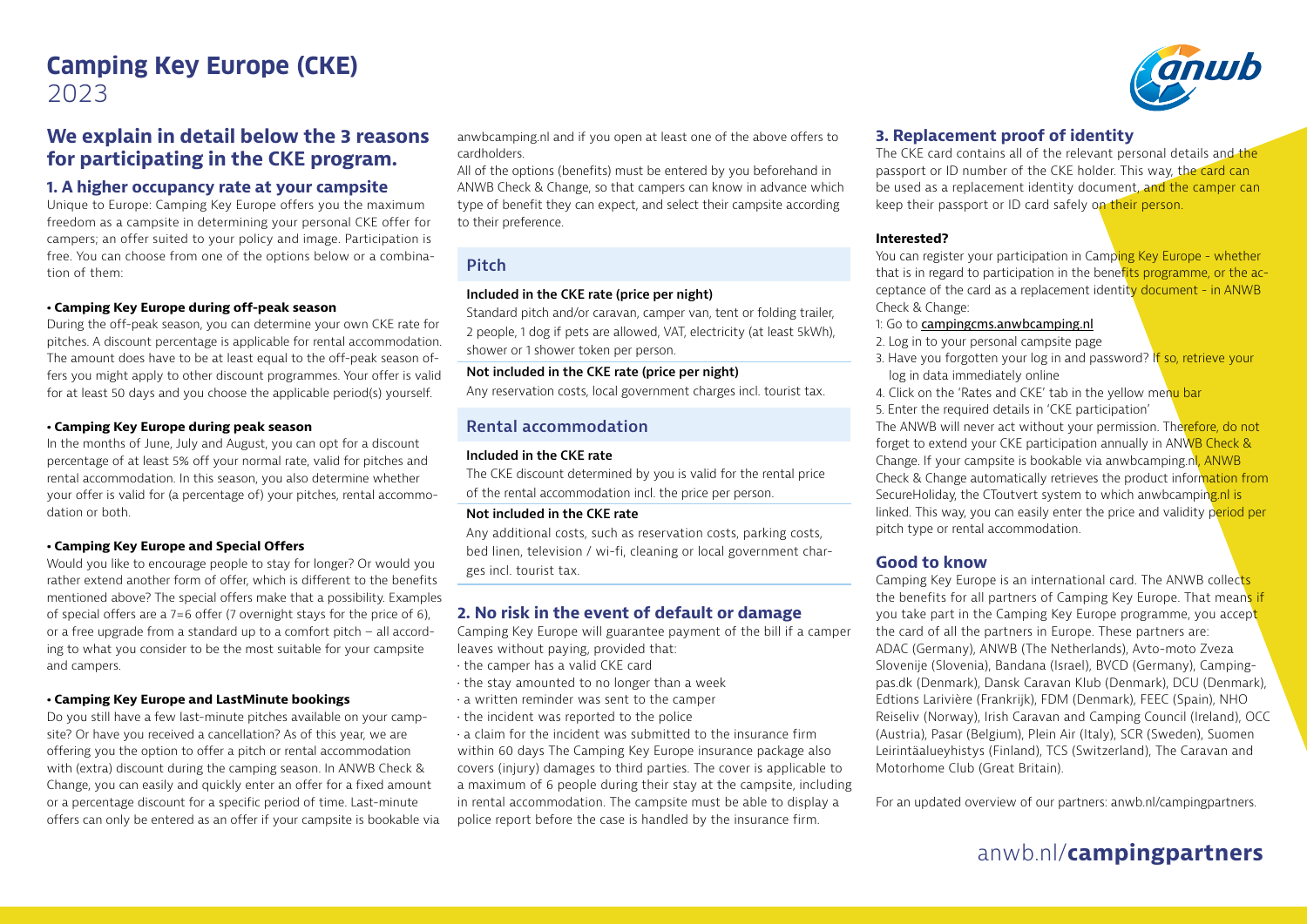# **Camping Key Europe (CKE)** 2023

### **We explain in detail below the 3 reasons for participating in the CKE program.**

#### **1. A higher occupancy rate at your campsite**

Unique to Europe: Camping Key Europe offers you the maximum freedom as a campsite in determining your personal CKE offer for campers; an offer suited to your policy and image. Participation is free. You can choose from one of the options below or a combination of them:

#### **• Camping Key Europe during off-peak season**

During the off-peak season, you can determine your own CKE rate for pitches. A discount percentage is applicable for rental accommodation. The amount does have to be at least equal to the off-peak season offers you might apply to other discount programmes. Your offer is valid for at least 50 days and you choose the applicable period(s) yourself.

#### **• Camping Key Europe during peak season**

In the months of June, July and August, you can opt for a discount percentage of at least 5% off your normal rate, valid for pitches and rental accommodation. In this season, you also determine whether your offer is valid for (a percentage of) your pitches, rental accommodation or both.

#### **• Camping Key Europe and Special Offers**

Would you like to encourage people to stay for longer? Or would you rather extend another form of offer, which is different to the benefits mentioned above? The special offers make that a possibility. Examples of special offers are a 7=6 offer (7 overnight stays for the price of 6), or a free upgrade from a standard up to a comfort pitch – all according to what you consider to be the most suitable for your campsite and campers.

#### **• Camping Key Europe and LastMinute bookings**

Do you still have a few last-minute pitches available on your campsite? Or have you received a cancellation? As of this year, we are offering you the option to offer a pitch or rental accommodation with (extra) discount during the camping season. In ANWB Check & Change, you can easily and quickly enter an offer for a fixed amount or a percentage discount for a specific period of time. Last-minute offers can only be entered as an offer if your campsite is bookable via anwbcamping.nl and if you open at least one of the above offers to cardholders.

All of the options (benefits) must be entered by you beforehand in ANWB Check & Change, so that campers can know in advance which type of benefit they can expect, and select their campsite according to their preference.

#### **Pitch**

#### **Included in the CKE rate (price per night)**

Standard pitch and/or caravan, camper van, tent or folding trailer, 2 people, 1 dog if pets are allowed, VAT, electricity (at least 5kWh), shower or 1 shower token per person.

#### **Not included in the CKE rate (price per night)**

Any reservation costs, local government charges incl. tourist tax.

#### **Rental accommodation**

#### **Included in the CKE rate**

The CKE discount determined by you is valid for the rental price of the rental accommodation incl. the price per person.

#### **Not included in the CKE rate**

Any additional costs, such as reservation costs, parking costs, bed linen, television / wi-fi, cleaning or local government charges incl. tourist tax.

#### **2. No risk in the event of default or damage**

Camping Key Europe will guarantee payment of the bill if a camper leaves without paying, provided that:

- the camper has a valid CKE card
- the stay amounted to no longer than a week
- a written reminder was sent to the camper
- the incident was reported to the police

 $\cdot$  a claim for the incident was submitted to the insurance firm within 60 days The Camping Key Europe insurance package also covers (injury) damages to third parties. The cover is applicable to a maximum of 6 people during their stay at the campsite, including in rental accommodation. The campsite must be able to display a police report before the case is handled by the insurance firm.

#### **3. Replacement proof of identity**

The CKE card contains all of the relevant personal details and the passport or ID number of the CKE holder. This way, the card can be used as a replacement identity document, and the camper can keep their passport or ID card safely on their person.

#### **Interested?**

You can register your participation in Camping Key Europe - whether that is in regard to participation in the benefits programme, or the acceptance of the card as a replacement identity document - in ANWB Check & Change:

#### 1: Go to campingcms.anwbcamping.nl

- 2. Log in to your personal campsite page
- 3. Have you forgotten your log in and password? If so, retrieve your log in data immediately online
- 4. Click on the 'Rates and CKE' tab in the yellow menu bar
- 5. Enter the required details in 'CKE participation'

The ANWB will never act without your permission. Therefore, do not forget to extend your CKE participation annually in ANWB Check & Change. If your campsite is bookable via anwbcamping.nl, ANWB Check & Change automatically retrieves the product information from SecureHoliday, the CToutvert system to which anwbcamping.nl is linked. This way, you can easily enter the price and validity period per pitch type or rental accommodation.

#### **Good to know**

Camping Key Europe is an international card. The ANWB collects the benefits for all partners of Camping Key Europe. That means if you take part in the Camping Key Europe programme, you accept the card of all the partners in Europe. These partners are: ADAC (Germany), ANWB (The Netherlands), Avto-moto Zveza Slovenije (Slovenia), Bandana (Israel), BVCD (Germany), Campingpas.dk (Denmark), Dansk Caravan Klub (Denmark), DCU (Denmark), Edtions Larivière (Frankrijk), FDM (Denmark), FEEC (Spain), NHO Reiseliv (Norway), Irish Caravan and Camping Council (Ireland), OCC (Austria), Pasar (Belgium), Plein Air (Italy), SCR (Sweden), Suomen Leirintäalueyhistys (Finland), TCS (Switzerland), The Caravan and Motorhome Club (Great Britain).

For an updated overview of our partners: anwb.nl/campingpartners.

# anwb.nl/**campingpartners**